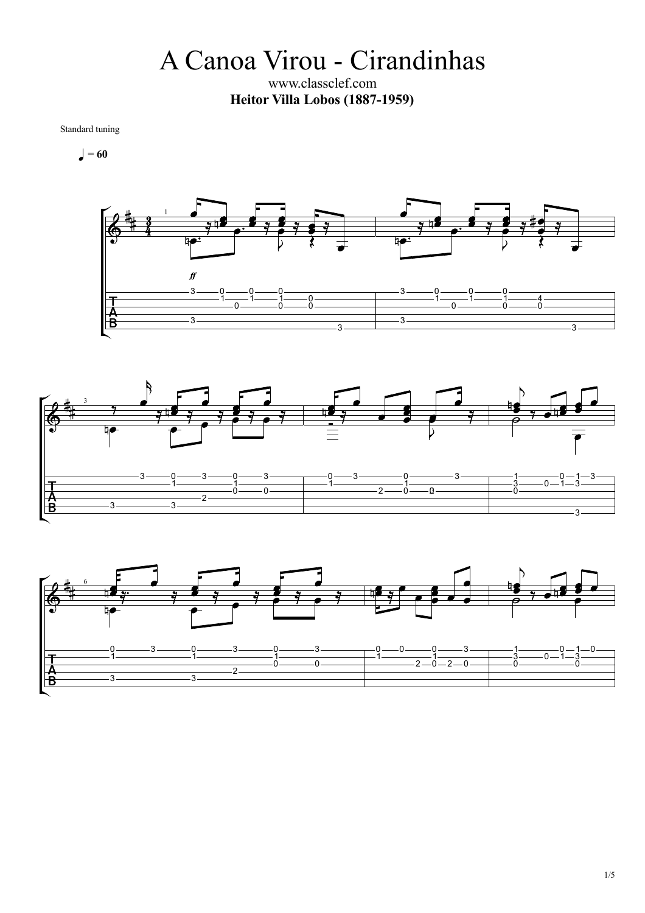A Canoa Virou - Cirandinhas

www.classclef.com **Heitor Villa Lobos (1887-1959)**

Standard tuning

 $= 60$ 





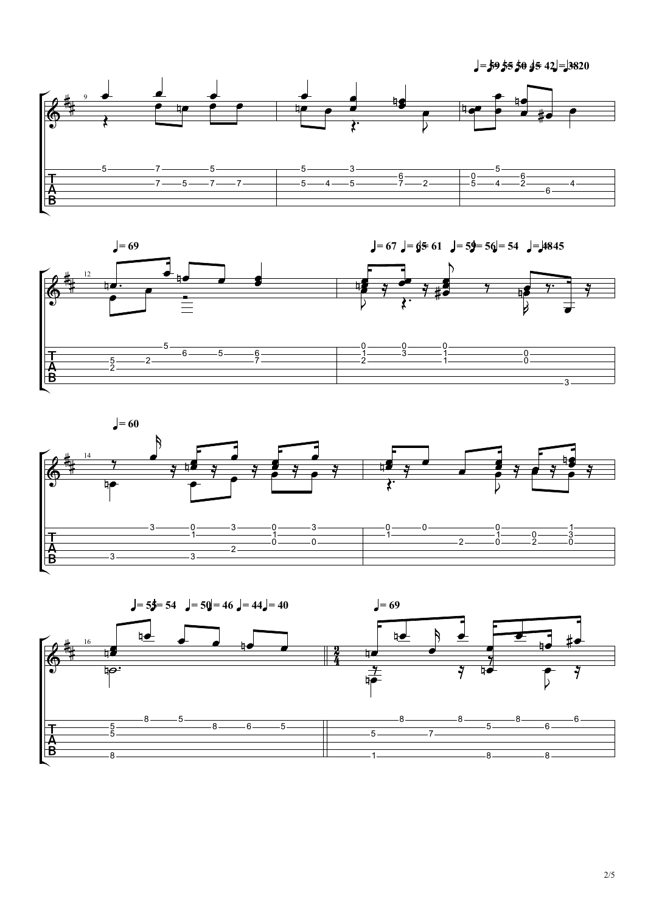**<sup>=</sup> 5=9 5=5 5=0 45= <sup>42</sup> <sup>=</sup> 3=820**  $\overline{\mathbf{Y}}$ ৳ 7 —  $3$  —  $3 \frac{1}{\sqrt{2}}$  $5 -$ 바여의  $\frac{0}{5-4-2}$   $\frac{6}{6}$  $\underline{6}$  -  $\underline{0}$  $\overline{0}$   $\overline{0}$   $\overline{0}$   $\overline{0}$  $6 \longrightarrow$  $-7 - 5 - 7 - 7$  $\overline{4}$ 7 — 7 — — — — 5 —  $5 - 4 - 5 - 7$   $7 - 2 - 5 - 4$  $4 - 2 - 4$  $4 \longrightarrow$  $6 \longrightarrow$ 





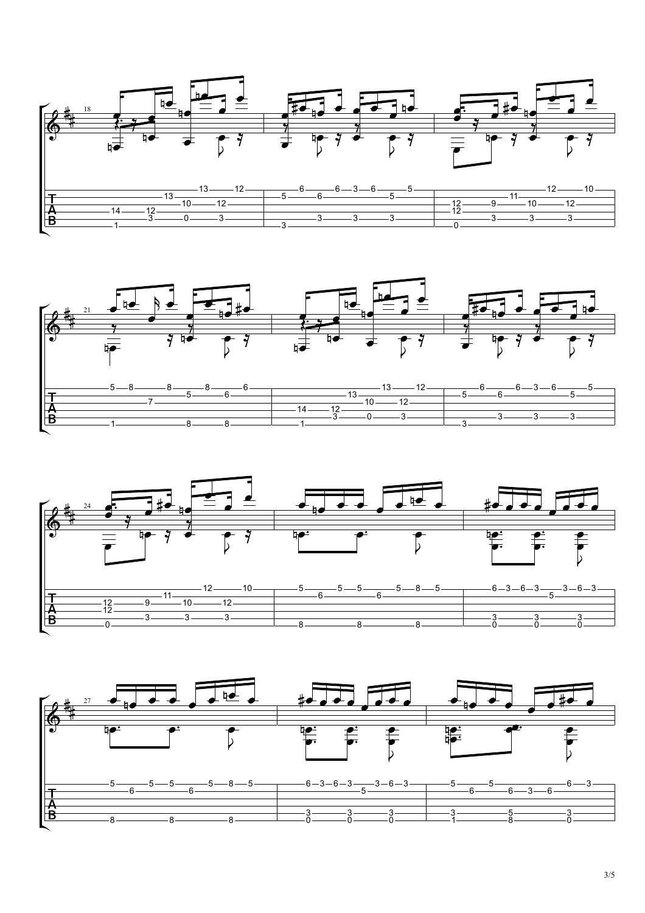





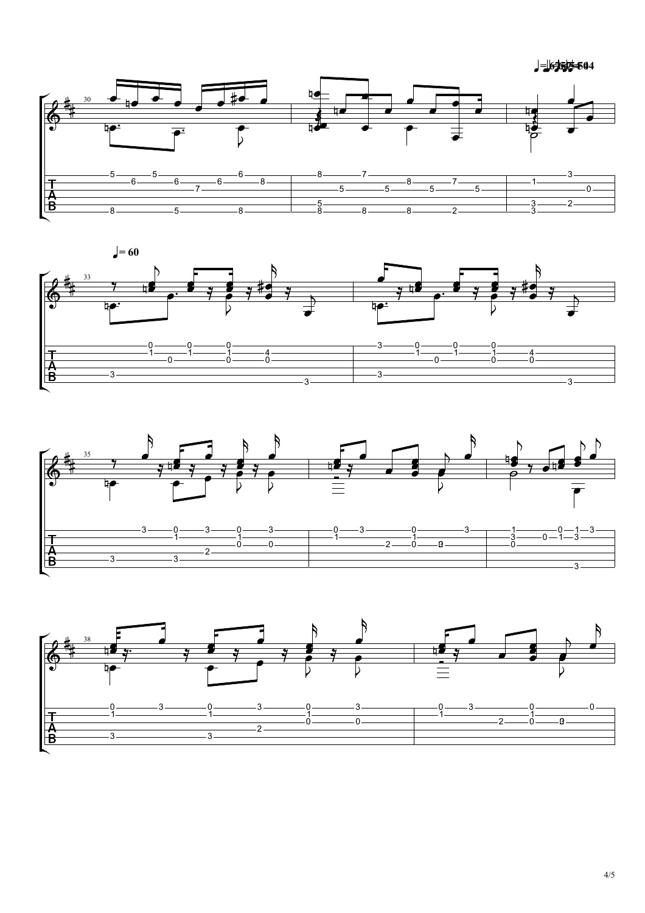